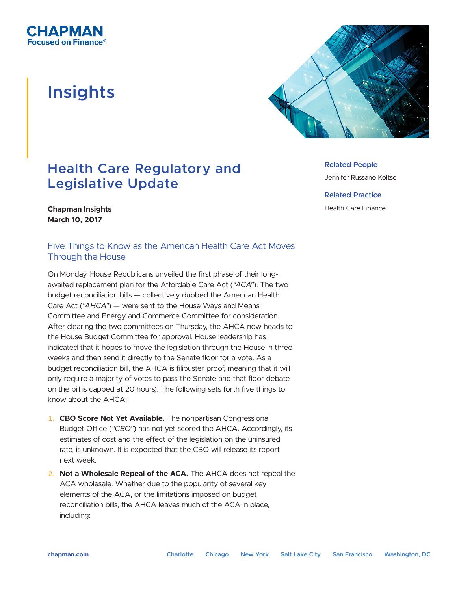

## **Insights**



## **Health Care Regulatory and Legislative Update**

**Related People**

Jennifer Russano Koltse

**Related Practice** Health Care Finance

**Chapman Insights March 10, 2017**

## Five Things to Know as the American Health Care Act Moves Through the House

On Monday, House Republicans unveiled the first phase of their longawaited replacement plan for the Affordable Care Act (*"ACA"*). The two budget reconciliation bills — collectively dubbed the American Health Care Act (*"AHCA"*) — were sent to the House Ways and Means Committee and Energy and Commerce Committee for consideration. After clearing the two committees on Thursday, the AHCA now heads to the House Budget Committee for approval. House leadership has indicated that it hopes to move the legislation through the House in three weeks and then send it directly to the Senate floor for a vote. As a budget reconciliation bill, the AHCA is filibuster proof, meaning that it will only require a majority of votes to pass the Senate and that floor debate on the bill is capped at 20 hours). The following sets forth five things to know about the AHCA:

- 1. **CBO Score Not Yet Available.** The nonpartisan Congressional Budget Office (*"CBO"*) has not yet scored the AHCA. Accordingly, its estimates of cost and the effect of the legislation on the uninsured rate, is unknown. It is expected that the CBO will release its report next week.
- 2. **Not a Wholesale Repeal of the ACA.** The AHCA does not repeal the ACA wholesale. Whether due to the popularity of several key elements of the ACA, or the limitations imposed on budget reconciliation bills, the AHCA leaves much of the ACA in place, including: